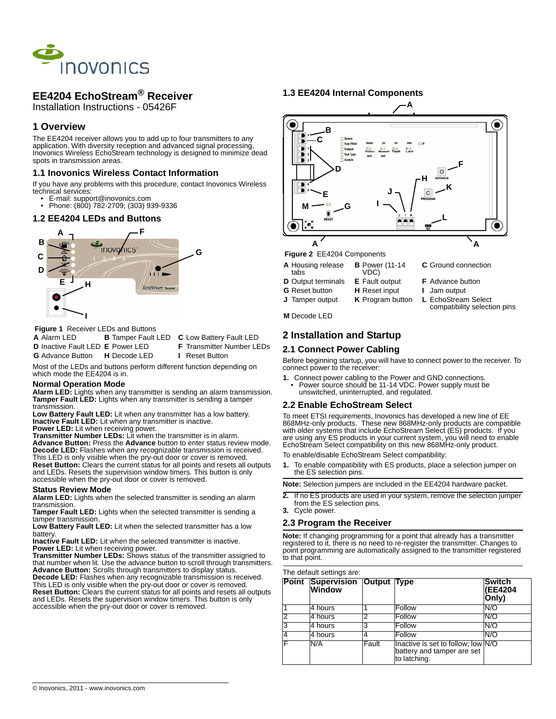

# **EE4204 EchoStream® Receiver**

Installation Instructions - 05426F

# **1 Overview**

The EE4204 receiver allows you to add up to four transmitters to any application. With diversity reception and advanced signal processing, Inovonics Wireless EchoStream technology is designed to minimize dead spots in transmission areas.

# **1.1 Inovonics Wireless Contact Information**

If you have any problems with this procedure, contact Inovonics Wireless technical services:

- E-mail: support@inovonics.com
- Phone: (800) 782-2709; (303) 939-9336

# **1.2 EE4204 LEDs and Buttons**



 **Figure 1** Receiver LEDs and Buttons

**A** Alarm LED **B** Tamper Fault LED **C** Low Battery Fault LED

**D** Inactive Fault LED **E** Power LED **F** Transmitter Number LEDs

Most of the LEDs and buttons perform different function depending on which mode the EE4204 is in.

#### **Normal Operation Mode**

**Alarm LED:** Lights when any transmitter is sending an alarm transmission. **Tamper Fault LED:** Lights when any transmitter is sending a tamper transmission.

**Low Battery Fault LED:** Lit when any transmitter has a low battery. **Inactive Fault LED:** Lit when any transmitter is inactive.

Power LED: Lit when receiving power.

**Transmitter Number LEDs:** Lit when the transmitter is in alarm. **Advance Button:** Press the **Advance** button to enter status review mode. **Decode LED:** Flashes when any recognizable transmission is received. This LED is only visible when the pry-out door or cover is removed.

**Reset Button:** Clears the current status for all points and resets all outputs and LEDs. Resets the supervision window timers. This button is only accessible when the pry-out door or cover is removed.

#### **Status Review Mode**

**Alarm LED:** Lights when the selected transmitter is sending an alarm transmission.

**Tamper Fault LED:** Lights when the selected transmitter is sending a tamper transmission.

**Low Battery Fault LED:** Lit when the selected transmitter has a low battery.

**Inactive Fault LED:** Lit when the selected transmitter is inactive. **Power LED:** Lit when receiving power.

**Transmitter Number LEDs:** Shows status of the transmitter assigned to that number when lit. Use the advance button to scroll through transmitters. **Advance Button:** Scrolls through transmitters to display status. **Decode LED:** Flashes when any recognizable transmission is received. This LED is only visible when the pry-out door or cover is removed. **Reset Button:** Clears the current status for all points and resets all outputs and LEDs. Resets the supervision window timers. This button is only accessible when the pry-out door or cover is removed.

**1.3 EE4204 Internal Components**



**A**

- **A** Housing release tabs **B** Power (11-14 VDC)
- **D** Output terminals **E** Fault output **F** Advance button
- **G** Reset button **H** Reset input **I** Jam output
- **J** Tamper output **K** Program button **L** EchoStream Select
- 

**C** Ground connection

- 
- compatibility selection pins

**M** Decode LED

# **2 Installation and Startup**

## **2.1 Connect Power Cabling**

Before beginning startup, you will have to connect power to the receiver. To connect power to the receiver:

**1.** Connect power cabling to the Power and GND connections. • Power source should be 11-14 VDC. Power supply must be unswitched, uninterrupted, and regulated.

## **2.2 Enable EchoStream Select**

To meet ETSI requirements, Inovonics has developed a new line of EE 868MHz-only products. These new 868MHz-only products are compatible with older systems that include EchoStream Select (ES) products. If you are using any ES products in your current system, you will need to enable EchoStream Select compatibility on this new 868MHz-only product.

To enable/disable EchoStream Select compatibility:

**1.** To enable compatibility with ES products, place a selection jumper on the ES selection pins.

**Note:** Selection jumpers are included in the EE4204 hardware packet.

- **2.** If no ES products are used in your system, remove the selection jumper from the ES selection pins.
- **3.** Cycle power.

## **2.3 Program the Receiver**

**Note:** If changing programming for a point that already has a transmitter registered to it, there is no need to re-register the transmitter. Changes to point programming are automatically assigned to the transmitter registered to that point.

#### The default settings are:

|   | Point Supervision Output Type<br><b>Window</b> |       |                                                                                  | <b>Switch</b><br>(EE4204<br>Only) |
|---|------------------------------------------------|-------|----------------------------------------------------------------------------------|-----------------------------------|
|   | l4 hours                                       |       | Follow                                                                           | N/O                               |
| 2 | 4 hours                                        | っ     | Follow                                                                           | N/O                               |
| 3 | 4 hours                                        | 3     | Follow                                                                           | N/O                               |
|   | 4 hours                                        |       | Follow                                                                           | N/C                               |
|   | N/A                                            | Fault | Inactive is set to follow; low N/O<br>battery and tamper are set<br>to latching. |                                   |

**G** Advance Button **H** Decode LED **I** Reset Button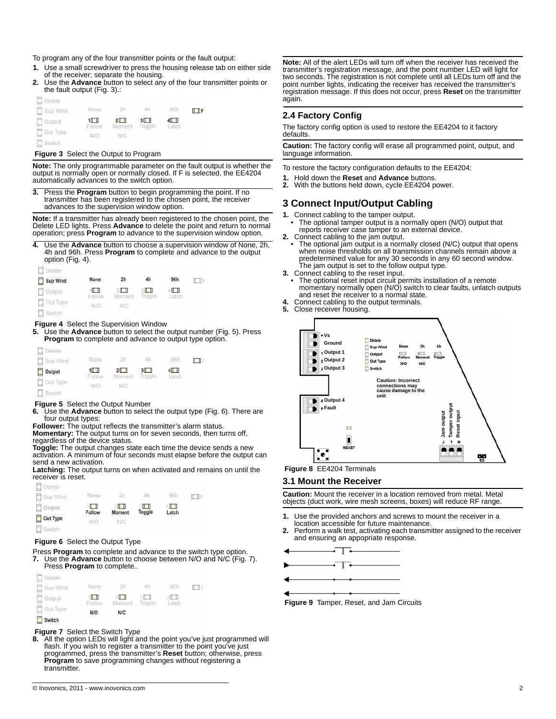To program any of the four transmitter points or the fault output:

- **1.** Use a small screwdriver to press the housing release tab on either side of the receiver; separate the housing.
- **2.** Use the **Advance** button to select any of the four transmitter points or the fault output (Fig. 3).:  $\equiv$

| $\Box$ Delete   |                                                |            |                          |     |        |
|-----------------|------------------------------------------------|------------|--------------------------|-----|--------|
| Sup Wind        | None                                           | 2h         | 4h                       | 96h | $\Box$ |
| $\Box$ Output   | $1$ <sup><math>\uparrow</math></sup><br>Follow | $2$ $\Box$ | 3<br>Moment Toggle Latch | 4   |        |
| $\Box$ Out Type | N/O                                            | N/C        |                          |     |        |
| Switch          |                                                |            |                          |     |        |

#### **Figure 3** Select the Output to Program

**Note:** The only programmable parameter on the fault output is whether the output is normally open or normally closed. If F is selected, the EE4204 automatically advances to the switch option.

**3.** Press the **Program** button to begin programming the point. If no transmitter has been registered to the chosen point, the receiver advances to the supervision window option.

**Note:** If a transmitter has already been registered to the chosen point, the Delete LED lights. Press **Advance** to delete the point and return to normal operation; press **Program** to advance to the supervision window option.

**4.** Use the **Advance** button to choose a supervision window of None, 2h, 4h and 96h. Press **Program** to complete and advance to the output option (Fig. 4).



#### **Figure 4** Select the Supervision Window

**5.** Use the **Advance** button to select the output number (Fig. 5). Press **Program** to complete and advance to output type option.

| L Delete      |             |                          |               |                   |   |
|---------------|-------------|--------------------------|---------------|-------------------|---|
| Sup Wind      | None        | 2h<br><b>COV</b>         | 4h            | 96h               | Ш |
| Output        | 1<br>Follow | $2 \mathbb{L}$<br>Moment | 3Ш<br>Toggle. | $4 \Box$<br>Latch |   |
| Out Type      | N/O         | N/C                      |               |                   |   |
| $\Box$ Switch |             |                          |               |                   |   |

#### **Figure 5** Select the Output Number

**6.** Use the **Advance** button to select the output type (Fig. 6). There are four output types:

**Follower:** The output reflects the transmitter's alarm status. **Momentary:** The output turns on for seven seconds, then turns off,

regardless of the device status. **Toggle:** The output changes state each time the device sends a new

activation. A minimum of four seconds must elapse before the output can send a new activation.

**Latching:** The output turns on when activated and remains on until the receiver is reset.



#### **Figure 6** Select the Output Type

Press **Program** to complete and advance to the switch type option.<br>**7.** Use the **Advance** button to choose between N/O and N/C (Fig.

**7.** Use the **Advance** button to choose between N/O and N/C (Fig. 7). Press **Program** to complete..

| $\Box$ Delete |                          |               |        |       |             |
|---------------|--------------------------|---------------|--------|-------|-------------|
| Sup Wind      | None                     | 2h            | 4h     | 96h   | <b>ITTF</b> |
| $\Box$ Output | $\blacksquare$<br>Follow | 211<br>Moment | Toggle | Latch |             |
| Out Type      | N/O                      | <b>N/C</b>    |        |       |             |
| $\Box$ Switch |                          |               |        |       |             |

# **Figure 7** Select the Switch Type<br>**8.** All the option LEDs will light an

**8.** All the option LEDs will light and the point you've just programmed will flash. If you wish to register a transmitter to the point you've just programmed, press the transmitter's **Reset** button; otherwise, press **Program** to save programming changes without registering a transmitter.

**Note:** All of the alert LEDs will turn off when the receiver has received the transmitter's registration message, and the point number LED will light for two seconds. The registration is not complete until all LEDs turn off and the point number lights, indicating the receiver has received the transmitter's registration message. If this does not occur, press **Reset** on the transmitter again.

### **2.4 Factory Config**

The factory config option is used to restore the EE4204 to it factory defaults.

**Caution:** The factory config will erase all programmed point, output, and language information.

To restore the factory configuration defaults to the EE4204:

- **1.** Hold down the **Reset** and **Advance** buttons.
- **2.** With the buttons held down, cycle EE4204 power.

# **3 Connect Input/Output Cabling**

- **1.** Connect cabling to the tamper output.
- The optional tamper output is a normally open (N/O) output that reports receiver case tamper to an external device.
- **2.** Connect cabling to the jam output.
- The optional jam output is a normally closed (N/C) output that opens when noise thresholds on all transmission channels remain above a predetermined value for any 30 seconds in any 60 second window. The jam output is set to the follow output type.
- **3.** Connect cabling to the reset input.
- The optional reset input circuit permits installation of a remote momentary normally open (N/O) switch to clear faults, unlatch outputs and reset the receiver to a normal state.
- **4.** Connect cabling to the output terminals. **5.** Close receiver housing.





## **3.1 Mount the Receiver**

**Caution:** Mount the receiver in a location removed from metal. Metal objects (duct work, wire mesh screens, boxes) will reduce RF range.

- **1.** Use the provided anchors and screws to mount the receiver in a
- location accessible for future maintenance. **2.** Perform a walk test, activating each transmitter assigned to the receiver and ensuring an appopriate response.



 **Figure 9** Tamper, Reset, and Jam Circuits